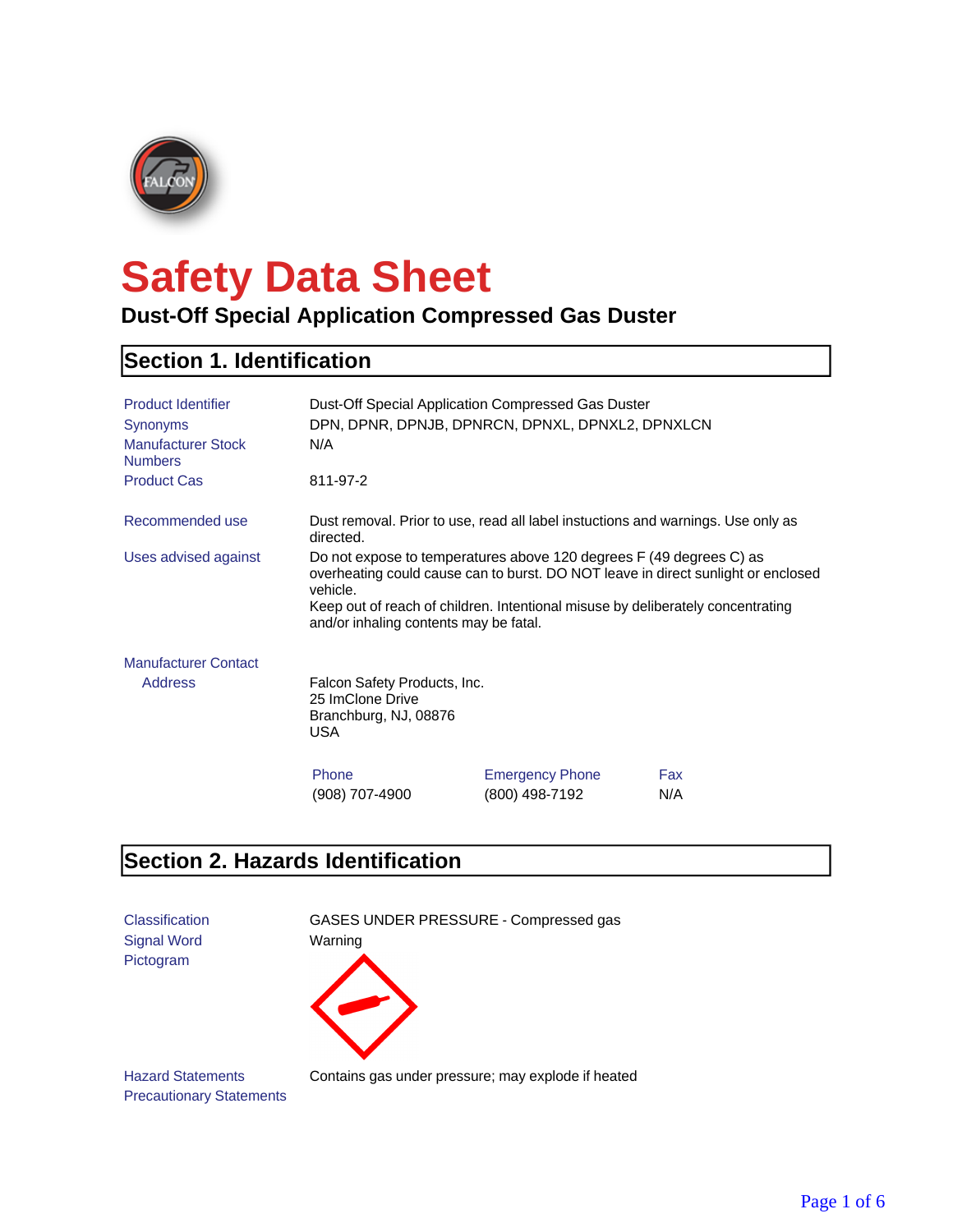

# **Safety Data Sheet**

#### **Dust-Off Special Application Compressed Gas Duster**

#### **Section 1. Identification**

| <b>Product Identifier</b><br><b>Synonyms</b><br><b>Manufacturer Stock</b><br><b>Numbers</b> | Dust-Off Special Application Compressed Gas Duster<br>DPN, DPNR, DPNJB, DPNRCN, DPNXL, DPNXL2, DPNXLCN<br>N/A                                                                                                                                                                                     |                                          |            |
|---------------------------------------------------------------------------------------------|---------------------------------------------------------------------------------------------------------------------------------------------------------------------------------------------------------------------------------------------------------------------------------------------------|------------------------------------------|------------|
| <b>Product Cas</b>                                                                          | 811-97-2                                                                                                                                                                                                                                                                                          |                                          |            |
| Recommended use                                                                             | Dust removal. Prior to use, read all label instuctions and warnings. Use only as<br>directed.                                                                                                                                                                                                     |                                          |            |
| Uses advised against                                                                        | Do not expose to temperatures above 120 degrees F (49 degrees C) as<br>overheating could cause can to burst. DO NOT leave in direct sunlight or enclosed<br>vehicle.<br>Keep out of reach of children. Intentional misuse by deliberately concentrating<br>and/or inhaling contents may be fatal. |                                          |            |
| <b>Manufacturer Contact</b>                                                                 |                                                                                                                                                                                                                                                                                                   |                                          |            |
| <b>Address</b>                                                                              | Falcon Safety Products, Inc.<br>25 ImClone Drive<br>Branchburg, NJ, 08876<br><b>USA</b>                                                                                                                                                                                                           |                                          |            |
|                                                                                             | Phone<br>(908) 707-4900                                                                                                                                                                                                                                                                           | <b>Emergency Phone</b><br>(800) 498-7192 | Fax<br>N/A |

#### **Section 2. Hazards Identification**



Precautionary Statements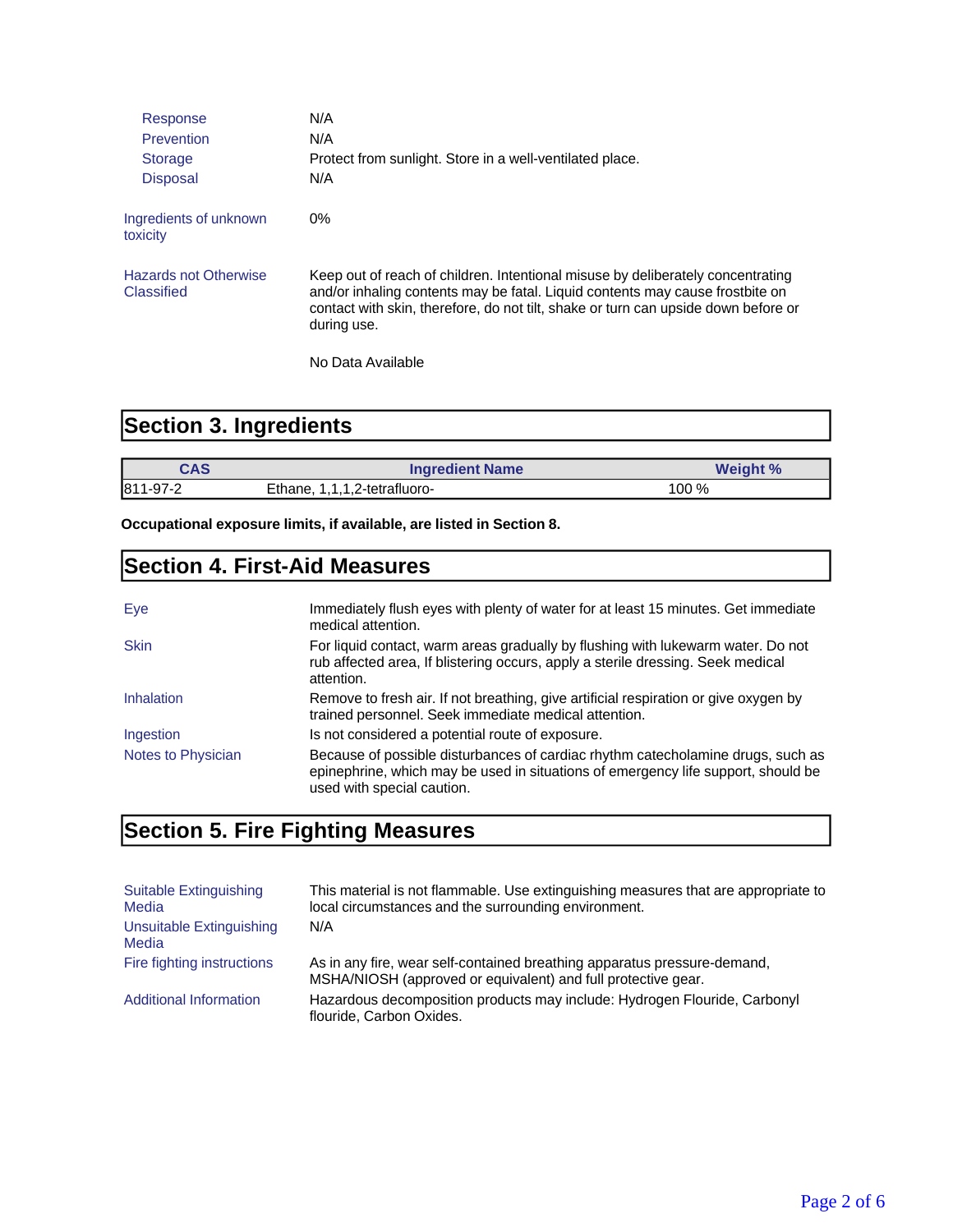| Response                                   | N/A                                                                                                                                                                                                                                                                   |
|--------------------------------------------|-----------------------------------------------------------------------------------------------------------------------------------------------------------------------------------------------------------------------------------------------------------------------|
| Prevention                                 | N/A                                                                                                                                                                                                                                                                   |
| <b>Storage</b>                             | Protect from sunlight. Store in a well-ventilated place.                                                                                                                                                                                                              |
| <b>Disposal</b>                            | N/A                                                                                                                                                                                                                                                                   |
| Ingredients of unknown<br>toxicity         | $0\%$                                                                                                                                                                                                                                                                 |
| <b>Hazards not Otherwise</b><br>Classified | Keep out of reach of children. Intentional misuse by deliberately concentrating<br>and/or inhaling contents may be fatal. Liquid contents may cause frostbite on<br>contact with skin, therefore, do not tilt, shake or turn can upside down before or<br>during use. |
|                                            | No Data Available                                                                                                                                                                                                                                                     |

## **Section 3. Ingredients**

| CAS      | <b>Ingredient Name</b>          | Weight % |
|----------|---------------------------------|----------|
| 811-97-2 | Ethane.<br>1,1,1,2-tetrafluoro- | 100 %    |

**Occupational exposure limits, if available, are listed in Section 8.**

#### **Section 4. First-Aid Measures**

| Eve                | Immediately flush eyes with plenty of water for at least 15 minutes. Get immediate<br>medical attention.                                                                                           |
|--------------------|----------------------------------------------------------------------------------------------------------------------------------------------------------------------------------------------------|
| <b>Skin</b>        | For liquid contact, warm areas gradually by flushing with lukewarm water. Do not<br>rub affected area, If blistering occurs, apply a sterile dressing. Seek medical<br>attention.                  |
| Inhalation         | Remove to fresh air. If not breathing, give artificial respiration or give oxygen by<br>trained personnel. Seek immediate medical attention.                                                       |
| Ingestion          | Is not considered a potential route of exposure.                                                                                                                                                   |
| Notes to Physician | Because of possible disturbances of cardiac rhythm catecholamine drugs, such as<br>epinephrine, which may be used in situations of emergency life support, should be<br>used with special caution. |

# **Section 5. Fire Fighting Measures**

| Suitable Extinguishing<br>Media   | This material is not flammable. Use extinguishing measures that are appropriate to<br>local circumstances and the surrounding environment. |
|-----------------------------------|--------------------------------------------------------------------------------------------------------------------------------------------|
| Unsuitable Extinguishing<br>Media | N/A                                                                                                                                        |
| Fire fighting instructions        | As in any fire, wear self-contained breathing apparatus pressure-demand,<br>MSHA/NIOSH (approved or equivalent) and full protective gear.  |
| <b>Additional Information</b>     | Hazardous decomposition products may include: Hydrogen Flouride, Carbonyl<br>flouride, Carbon Oxides.                                      |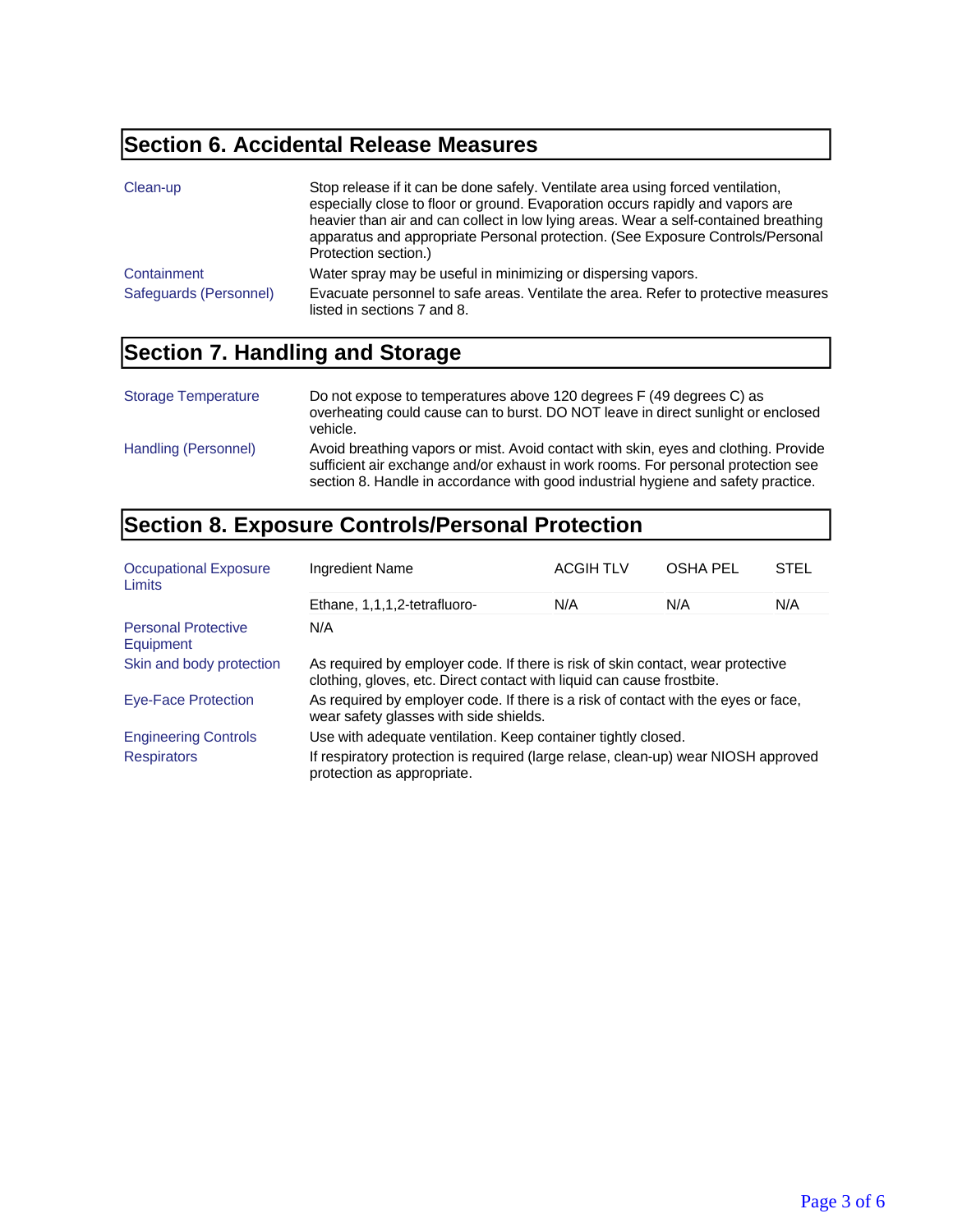## **Section 6. Accidental Release Measures**

| Clean-up               | Stop release if it can be done safely. Ventilate area using forced ventilation,<br>especially close to floor or ground. Evaporation occurs rapidly and vapors are<br>heavier than air and can collect in low lying areas. Wear a self-contained breathing<br>apparatus and appropriate Personal protection. (See Exposure Controls/Personal<br>Protection section.) |
|------------------------|---------------------------------------------------------------------------------------------------------------------------------------------------------------------------------------------------------------------------------------------------------------------------------------------------------------------------------------------------------------------|
| Containment            | Water spray may be useful in minimizing or dispersing vapors.                                                                                                                                                                                                                                                                                                       |
| Safeguards (Personnel) | Evacuate personnel to safe areas. Ventilate the area. Refer to protective measures<br>listed in sections 7 and 8.                                                                                                                                                                                                                                                   |

## **Section 7. Handling and Storage**

| <b>Storage Temperature</b> | Do not expose to temperatures above 120 degrees F (49 degrees C) as<br>overheating could cause can to burst. DO NOT leave in direct sunlight or enclosed<br>vehicle.                                                                                          |
|----------------------------|---------------------------------------------------------------------------------------------------------------------------------------------------------------------------------------------------------------------------------------------------------------|
| Handling (Personnel)       | Avoid breathing vapors or mist. Avoid contact with skin, eyes and clothing. Provide<br>sufficient air exchange and/or exhaust in work rooms. For personal protection see<br>section 8. Handle in accordance with good industrial hygiene and safety practice. |

## **Section 8. Exposure Controls/Personal Protection**

| <b>Occupational Exposure</b><br>Limits  | Ingredient Name                                                                                                                                           | <b>ACGIH TLV</b> | <b>OSHA PEL</b> | <b>STEL</b> |
|-----------------------------------------|-----------------------------------------------------------------------------------------------------------------------------------------------------------|------------------|-----------------|-------------|
|                                         | Ethane, 1,1,1,2-tetrafluoro-                                                                                                                              | N/A              | N/A             | N/A         |
| <b>Personal Protective</b><br>Equipment | N/A                                                                                                                                                       |                  |                 |             |
| Skin and body protection                | As required by employer code. If there is risk of skin contact, wear protective<br>clothing, gloves, etc. Direct contact with liquid can cause frostbite. |                  |                 |             |
| <b>Eye-Face Protection</b>              | As required by employer code. If there is a risk of contact with the eyes or face,<br>wear safety glasses with side shields.                              |                  |                 |             |
| <b>Engineering Controls</b>             | Use with adequate ventilation. Keep container tightly closed.                                                                                             |                  |                 |             |
| <b>Respirators</b>                      | If respiratory protection is required (large relase, clean-up) wear NIOSH approved<br>protection as appropriate.                                          |                  |                 |             |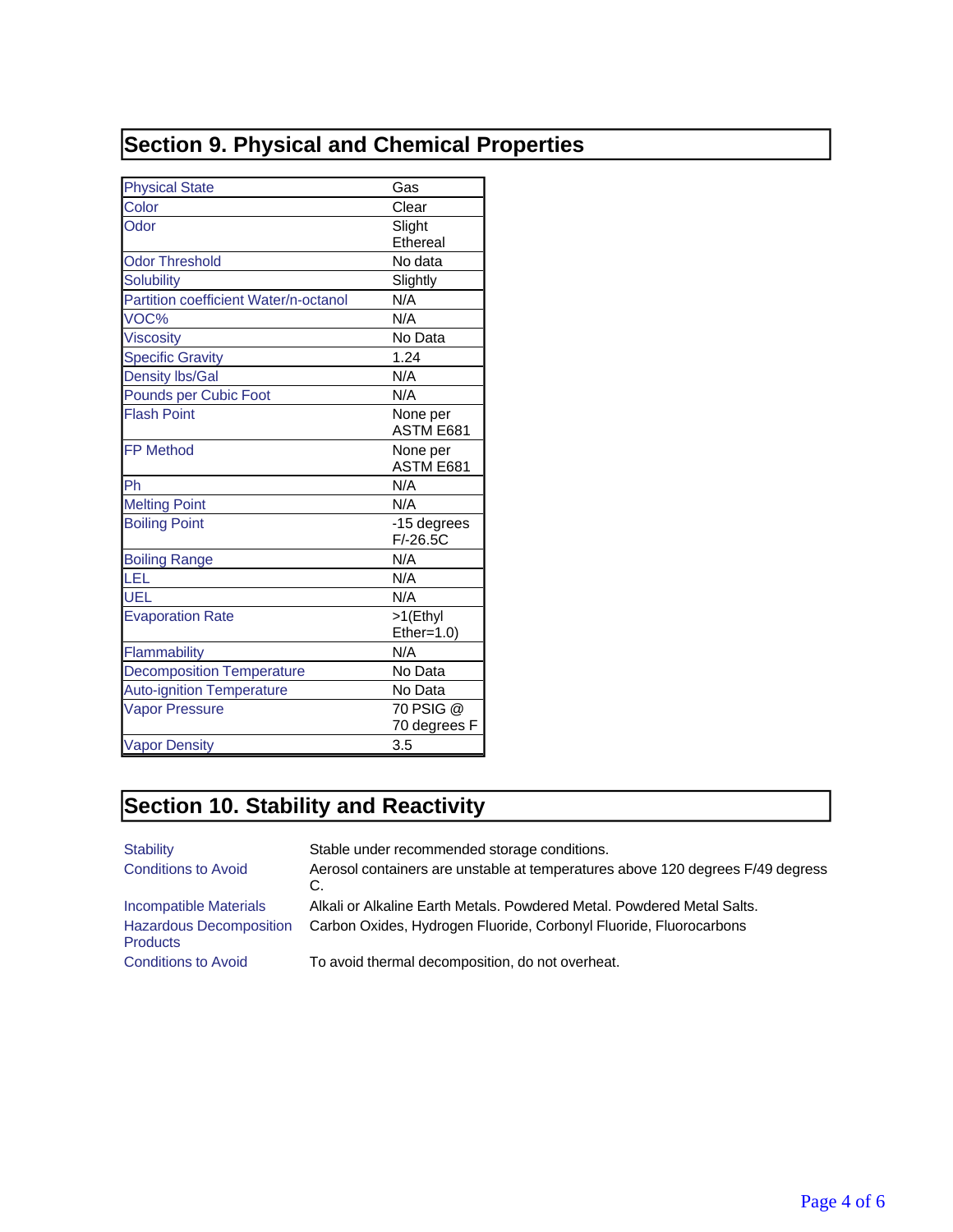# **Section 9. Physical and Chemical Properties**

| <b>Physical State</b>                 | Gas          |
|---------------------------------------|--------------|
| Color                                 | Clear        |
| Odor                                  | Slight       |
|                                       | Ethereal     |
| <b>Odor Threshold</b>                 | No data      |
| <b>Solubility</b>                     | Slightly     |
| Partition coefficient Water/n-octanol | N/A          |
| VOC%                                  | N/A          |
| <b>Viscosity</b>                      | No Data      |
| <b>Specific Gravity</b>               | 1.24         |
| <b>Density lbs/Gal</b>                | N/A          |
| Pounds per Cubic Foot                 | N/A          |
| <b>Flash Point</b>                    | None per     |
|                                       | ASTM E681    |
| <b>FP Method</b>                      | None per     |
|                                       | ASTM E681    |
| Ph                                    | N/A          |
| <b>Melting Point</b>                  | N/A          |
| <b>Boiling Point</b>                  | -15 degrees  |
|                                       | $F/-26.5C$   |
| <b>Boiling Range</b>                  | N/A          |
| LEL                                   | N/A          |
| UEL                                   | N/A          |
| <b>Evaporation Rate</b>               | >1(Ethyl     |
|                                       | Ether=1.0)   |
| Flammability                          | N/A          |
| <b>Decomposition Temperature</b>      | No Data      |
| <b>Auto-ignition Temperature</b>      | No Data      |
| <b>Vapor Pressure</b>                 | 70 PSIG @    |
|                                       | 70 degrees F |
| <b>Vapor Density</b>                  | 3.5          |

# **Section 10. Stability and Reactivity**

| <b>Stability</b>                                  | Stable under recommended storage conditions.                                         |
|---------------------------------------------------|--------------------------------------------------------------------------------------|
| <b>Conditions to Avoid</b>                        | Aerosol containers are unstable at temperatures above 120 degrees F/49 degress<br>C. |
| Incompatible Materials                            | Alkali or Alkaline Earth Metals, Powdered Metal, Powdered Metal Salts,               |
| <b>Hazardous Decomposition</b><br><b>Products</b> | Carbon Oxides, Hydrogen Fluoride, Corbonyl Fluoride, Fluorocarbons                   |
| <b>Conditions to Avoid</b>                        | To avoid thermal decomposition, do not overheat.                                     |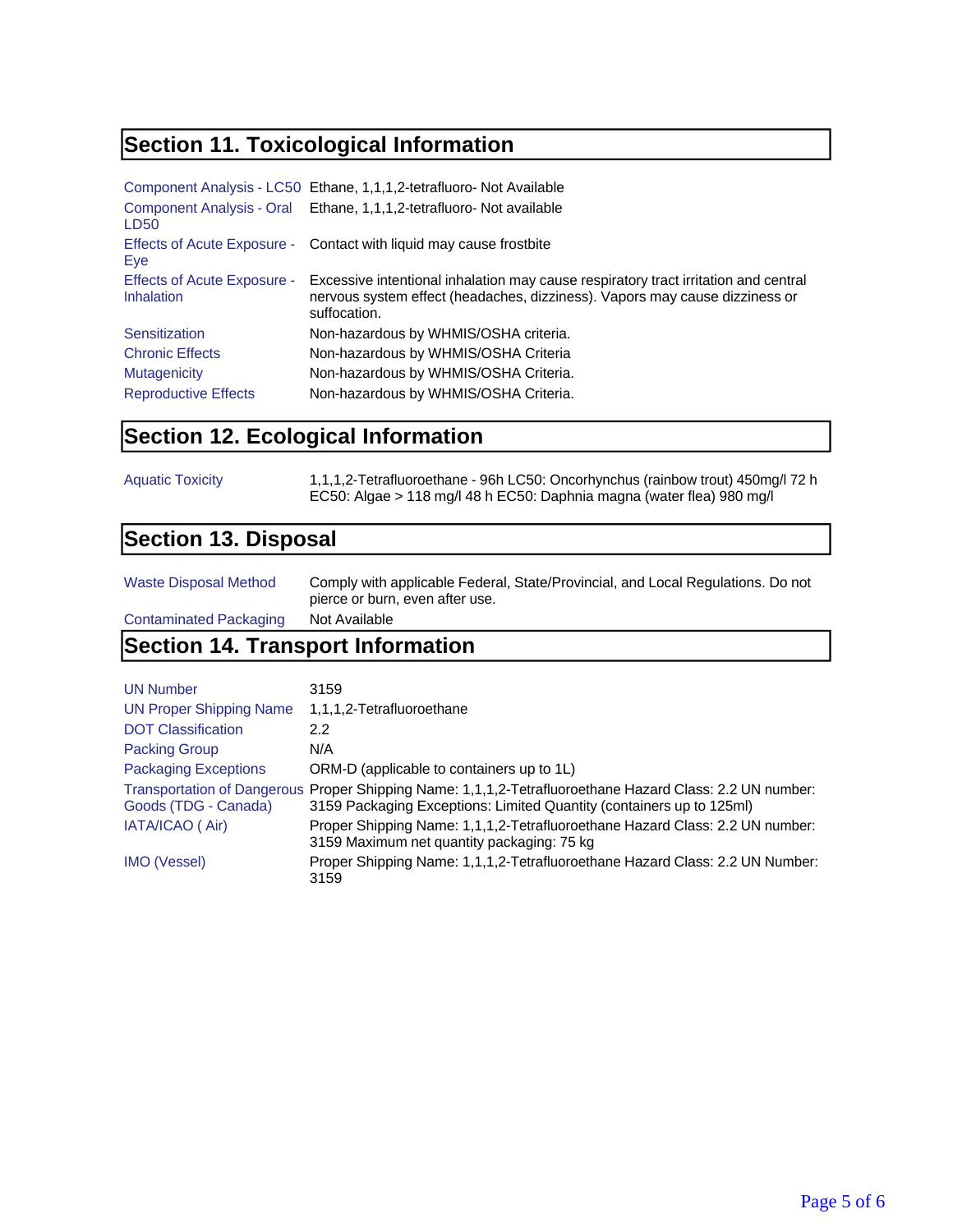## **Section 11. Toxicological Information**

|                                           | Component Analysis - LC50 Ethane, 1,1,1,2-tetrafluoro- Not Available                                                                                                               |
|-------------------------------------------|------------------------------------------------------------------------------------------------------------------------------------------------------------------------------------|
| LD <sub>50</sub>                          | Component Analysis - Oral Ethane, 1,1,1,2-tetrafluoro- Not available                                                                                                               |
| Eye                                       | Effects of Acute Exposure - Contact with liquid may cause frostbite                                                                                                                |
| Effects of Acute Exposure -<br>Inhalation | Excessive intentional inhalation may cause respiratory tract irritation and central<br>nervous system effect (headaches, dizziness). Vapors may cause dizziness or<br>suffocation. |
| Sensitization                             | Non-hazardous by WHMIS/OSHA criteria.                                                                                                                                              |
| <b>Chronic Effects</b>                    | Non-hazardous by WHMIS/OSHA Criteria                                                                                                                                               |
| Mutagenicity                              | Non-hazardous by WHMIS/OSHA Criteria.                                                                                                                                              |
| <b>Reproductive Effects</b>               | Non-hazardous by WHMIS/OSHA Criteria.                                                                                                                                              |

#### **Section 12. Ecological Information**

| <b>Aquatic Toxicity</b> | 1,1,1,2-Tetrafluoroethane - 96h LC50: Oncorhynchus (rainbow trout) 450mg/l 72 h |
|-------------------------|---------------------------------------------------------------------------------|
|                         | EC50: Algae > 118 mg/l 48 h EC50: Daphnia magna (water flea) 980 mg/l           |

#### **Section 13. Disposal**

| Waste Disposal Method  | Comply with applicable Federal, State/Provincial, and Local Regulations. Do not<br>pierce or burn, even after use. |
|------------------------|--------------------------------------------------------------------------------------------------------------------|
| Contaminated Packaging | Not Available                                                                                                      |

#### **Section 14. Transport Information**

| <b>UN Number</b>               | 3159                                                                                                                                                                             |
|--------------------------------|----------------------------------------------------------------------------------------------------------------------------------------------------------------------------------|
| <b>UN Proper Shipping Name</b> | 1,1,1,2-Tetrafluoroethane                                                                                                                                                        |
| <b>DOT Classification</b>      | 2.2                                                                                                                                                                              |
| <b>Packing Group</b>           | N/A                                                                                                                                                                              |
| <b>Packaging Exceptions</b>    | ORM-D (applicable to containers up to 1L)                                                                                                                                        |
| Goods (TDG - Canada)           | Transportation of Dangerous Proper Shipping Name: 1,1,1,2-Tetrafluoroethane Hazard Class: 2.2 UN number:<br>3159 Packaging Exceptions: Limited Quantity (containers up to 125ml) |
| IATA/ICAO (Air)                | Proper Shipping Name: 1,1,1,2-Tetrafluoroethane Hazard Class: 2.2 UN number:<br>3159 Maximum net quantity packaging: 75 kg                                                       |
| <b>IMO (Vessel)</b>            | Proper Shipping Name: 1,1,1,2-Tetrafluoroethane Hazard Class: 2.2 UN Number:<br>3159                                                                                             |